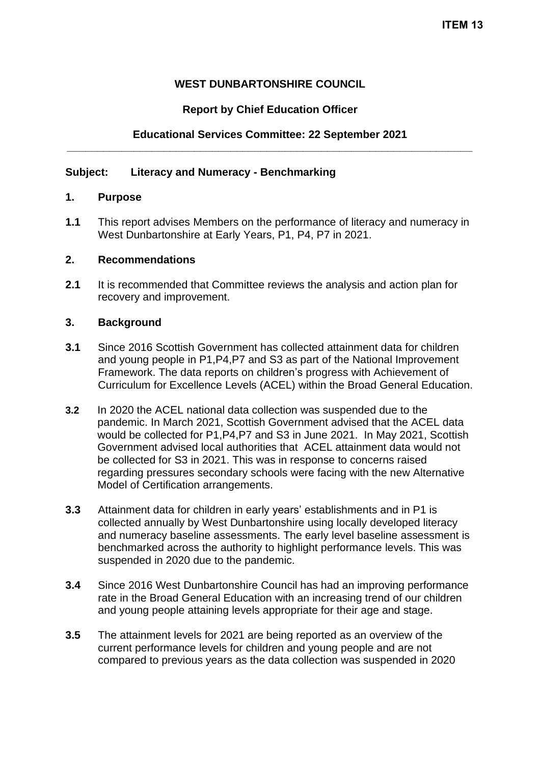# **WEST DUNBARTONSHIRE COUNCIL**

# **Report by Chief Education Officer**

# **Educational Services Committee: 22 September 2021 \_\_\_\_\_\_\_\_\_\_\_\_\_\_\_\_\_\_\_\_\_\_\_\_\_\_\_\_\_\_\_\_\_\_\_\_\_\_\_\_\_\_\_\_\_\_\_\_\_\_\_\_\_\_\_\_\_\_\_\_\_\_\_\_\_\_\_**

### **Subject: Literacy and Numeracy - Benchmarking**

#### **1. Purpose**

**1.1** This report advises Members on the performance of literacy and numeracy in West Dunbartonshire at Early Years, P1, P4, P7 in 2021.

### **2. Recommendations**

**2.1** It is recommended that Committee reviews the analysis and action plan for recovery and improvement.

#### **3. Background**

- **3.1** Since 2016 Scottish Government has collected attainment data for children and young people in P1,P4,P7 and S3 as part of the National Improvement Framework. The data reports on children's progress with Achievement of Curriculum for Excellence Levels (ACEL) within the Broad General Education.
- **3.2** In 2020 the ACEL national data collection was suspended due to the pandemic. In March 2021, Scottish Government advised that the ACEL data would be collected for P1,P4,P7 and S3 in June 2021. In May 2021, Scottish Government advised local authorities that ACEL attainment data would not be collected for S3 in 2021. This was in response to concerns raised regarding pressures secondary schools were facing with the new Alternative Model of Certification arrangements.
- **3.3** Attainment data for children in early years' establishments and in P1 is collected annually by West Dunbartonshire using locally developed literacy and numeracy baseline assessments. The early level baseline assessment is benchmarked across the authority to highlight performance levels. This was suspended in 2020 due to the pandemic.
- **3.4** Since 2016 West Dunbartonshire Council has had an improving performance rate in the Broad General Education with an increasing trend of our children and young people attaining levels appropriate for their age and stage.
- **3.5** The attainment levels for 2021 are being reported as an overview of the current performance levels for children and young people and are not compared to previous years as the data collection was suspended in 2020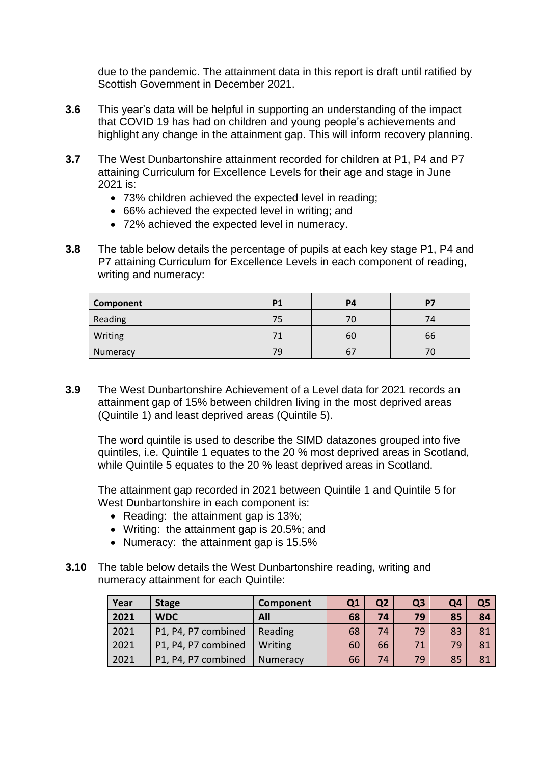due to the pandemic. The attainment data in this report is draft until ratified by Scottish Government in December 2021.

- **3.6** This year's data will be helpful in supporting an understanding of the impact that COVID 19 has had on children and young people's achievements and highlight any change in the attainment gap. This will inform recovery planning.
- **3.7** The West Dunbartonshire attainment recorded for children at P1, P4 and P7 attaining Curriculum for Excellence Levels for their age and stage in June 2021 is:
	- 73% children achieved the expected level in reading;
	- 66% achieved the expected level in writing; and
	- 72% achieved the expected level in numeracy.
- **3.8** The table below details the percentage of pupils at each key stage P1, P4 and P7 attaining Curriculum for Excellence Levels in each component of reading, writing and numeracy:

| Component | P.   | P4       | Þ.             |
|-----------|------|----------|----------------|
| Reading   | -75. |          | $\prime\prime$ |
| Writing   |      | 60       | 66             |
| Numeracy  | 79   | <b>b</b> | 76             |

**3.9** The West Dunbartonshire Achievement of a Level data for 2021 records an attainment gap of 15% between children living in the most deprived areas (Quintile 1) and least deprived areas (Quintile 5).

The word quintile is used to describe the SIMD datazones grouped into five quintiles, i.e. Quintile 1 equates to the 20 % most deprived areas in Scotland, while Quintile 5 equates to the 20 % least deprived areas in Scotland.

The attainment gap recorded in 2021 between Quintile 1 and Quintile 5 for West Dunbartonshire in each component is:

- Reading: the attainment gap is 13%;
- Writing: the attainment gap is 20.5%; and
- Numeracy: the attainment gap is 15.5%
- **3.10** The table below details the West Dunbartonshire reading, writing and numeracy attainment for each Quintile:

| Year | <b>Stage</b>        | Component |    | Q <sub>2</sub> | Q <sub>3</sub> | Q4 | Q <sub>5</sub> |
|------|---------------------|-----------|----|----------------|----------------|----|----------------|
| 2021 | <b>WDC</b>          | All       | 68 | 74             | 79             | 85 | 84             |
| 2021 | P1, P4, P7 combined | Reading   | 68 | 74             | 79             | 83 | 81             |
| 2021 | P1, P4, P7 combined | Writing   | 60 | 66             | 71             | 79 | 81             |
| 2021 | P1, P4, P7 combined | Numeracy  | 66 | 74             | 79             | 85 | 81             |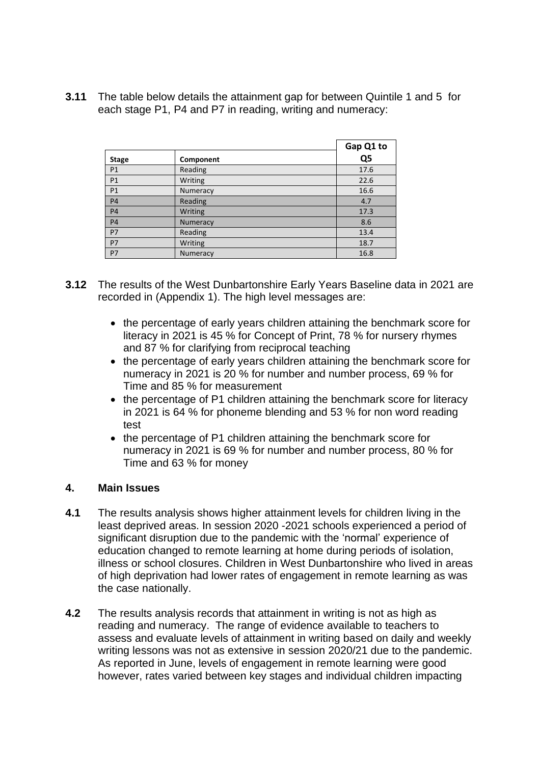**3.11** The table below details the attainment gap for between Quintile 1 and 5 for each stage P1, P4 and P7 in reading, writing and numeracy:

|                |           | Gap Q1 to      |
|----------------|-----------|----------------|
| <b>Stage</b>   | Component | Q <sub>5</sub> |
| P <sub>1</sub> | Reading   | 17.6           |
| P1             | Writing   | 22.6           |
| P1             | Numeracy  | 16.6           |
| <b>P4</b>      | Reading   | 4.7            |
| <b>P4</b>      | Writing   | 17.3           |
| <b>P4</b>      | Numeracy  | 8.6            |
| <b>P7</b>      | Reading   | 13.4           |
| P7             | Writing   | 18.7           |
| P7             | Numeracy  | 16.8           |

- **3.12** The results of the West Dunbartonshire Early Years Baseline data in 2021 are recorded in (Appendix 1). The high level messages are:
	- the percentage of early years children attaining the benchmark score for literacy in 2021 is 45 % for Concept of Print, 78 % for nursery rhymes and 87 % for clarifying from reciprocal teaching
	- the percentage of early years children attaining the benchmark score for numeracy in 2021 is 20 % for number and number process, 69 % for Time and 85 % for measurement
	- the percentage of P1 children attaining the benchmark score for literacy in 2021 is 64 % for phoneme blending and 53 % for non word reading test
	- the percentage of P1 children attaining the benchmark score for numeracy in 2021 is 69 % for number and number process, 80 % for Time and 63 % for money

### **4. Main Issues**

- **4.1** The results analysis shows higher attainment levels for children living in the least deprived areas. In session 2020 -2021 schools experienced a period of significant disruption due to the pandemic with the 'normal' experience of education changed to remote learning at home during periods of isolation, illness or school closures. Children in West Dunbartonshire who lived in areas of high deprivation had lower rates of engagement in remote learning as was the case nationally.
- **4.2** The results analysis records that attainment in writing is not as high as reading and numeracy. The range of evidence available to teachers to assess and evaluate levels of attainment in writing based on daily and weekly writing lessons was not as extensive in session 2020/21 due to the pandemic. As reported in June, levels of engagement in remote learning were good however, rates varied between key stages and individual children impacting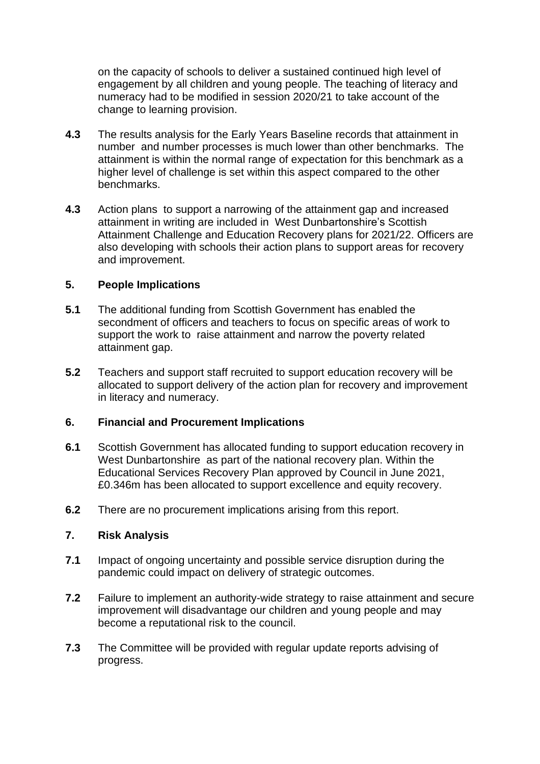on the capacity of schools to deliver a sustained continued high level of engagement by all children and young people. The teaching of literacy and numeracy had to be modified in session 2020/21 to take account of the change to learning provision.

- **4.3** The results analysis for the Early Years Baseline records that attainment in number and number processes is much lower than other benchmarks. The attainment is within the normal range of expectation for this benchmark as a higher level of challenge is set within this aspect compared to the other benchmarks.
- **4.3** Action plans to support a narrowing of the attainment gap and increased attainment in writing are included in West Dunbartonshire's Scottish Attainment Challenge and Education Recovery plans for 2021/22. Officers are also developing with schools their action plans to support areas for recovery and improvement.

### **5. People Implications**

- **5.1** The additional funding from Scottish Government has enabled the secondment of officers and teachers to focus on specific areas of work to support the work to raise attainment and narrow the poverty related attainment gap.
- **5.2** Teachers and support staff recruited to support education recovery will be allocated to support delivery of the action plan for recovery and improvement in literacy and numeracy.

### **6. Financial and Procurement Implications**

- **6.1** Scottish Government has allocated funding to support education recovery in West Dunbartonshire as part of the national recovery plan. Within the Educational Services Recovery Plan approved by Council in June 2021, £0.346m has been allocated to support excellence and equity recovery.
- **6.2** There are no procurement implications arising from this report.

### **7. Risk Analysis**

- **7.1** Impact of ongoing uncertainty and possible service disruption during the pandemic could impact on delivery of strategic outcomes.
- **7.2** Failure to implement an authority-wide strategy to raise attainment and secure improvement will disadvantage our children and young people and may become a reputational risk to the council.
- **7.3** The Committee will be provided with regular update reports advising of progress.